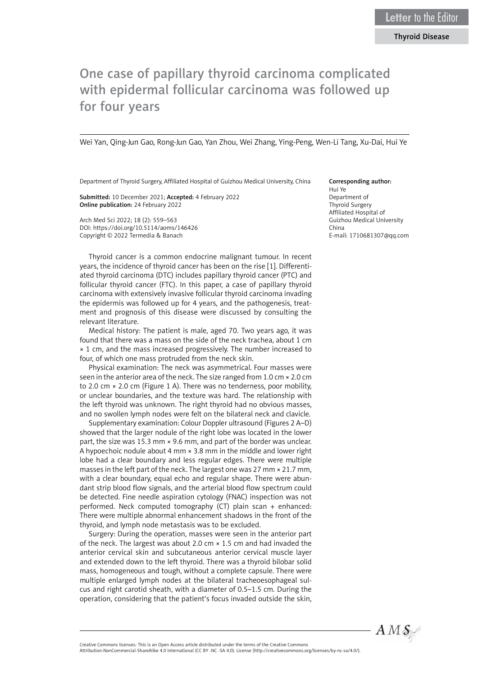## Thyroid Disease

# One case of papillary thyroid carcinoma complicated with epidermal follicular carcinoma was followed up for four years

Wei Yan, Qing-Jun Gao, Rong-Jun Gao, Yan Zhou, Wei Zhang, Ying-Peng, Wen-Li Tang, Xu-Dai, Hui Ye

Department of Thyroid Surgery, Affiliated Hospital of Guizhou Medical University, China

Submitted: 10 December 2021; Accepted: 4 February 2022 Online publication: 24 February 2022

Arch Med Sci 2022; 18 (2): 559–563 DOI: https://doi.org/10.5114/aoms/146426 Copyright © 2022 Termedia & Banach

Thyroid cancer is a common endocrine malignant tumour. In recent years, the incidence of thyroid cancer has been on the rise [1]. Differentiated thyroid carcinoma (DTC) includes papillary thyroid cancer (PTC) and follicular thyroid cancer (FTC). In this paper, a case of papillary thyroid carcinoma with extensively invasive follicular thyroid carcinoma invading the epidermis was followed up for 4 years, and the pathogenesis, treatment and prognosis of this disease were discussed by consulting the relevant literature.

Medical history: The patient is male, aged 70. Two years ago, it was found that there was a mass on the side of the neck trachea, about 1 cm × 1 cm, and the mass increased progressively. The number increased to four, of which one mass protruded from the neck skin.

Physical examination: The neck was asymmetrical. Four masses were seen in the anterior area of the neck. The size ranged from 1.0 cm × 2.0 cm to 2.0 cm × 2.0 cm (Figure 1 A). There was no tenderness, poor mobility, or unclear boundaries, and the texture was hard. The relationship with the left thyroid was unknown. The right thyroid had no obvious masses, and no swollen lymph nodes were felt on the bilateral neck and clavicle.

Supplementary examination: Colour Doppler ultrasound (Figures 2 A–D) showed that the larger nodule of the right lobe was located in the lower part, the size was 15.3 mm × 9.6 mm, and part of the border was unclear. A hypoechoic nodule about 4 mm × 3.8 mm in the middle and lower right lobe had a clear boundary and less regular edges. There were multiple masses in the left part of the neck. The largest one was 27 mm × 21.7 mm, with a clear boundary, equal echo and regular shape. There were abundant strip blood flow signals, and the arterial blood flow spectrum could be detected. Fine needle aspiration cytology (FNAC) inspection was not performed. Neck computed tomography (CT) plain scan + enhanced: There were multiple abnormal enhancement shadows in the front of the thyroid, and lymph node metastasis was to be excluded.

Surgery: During the operation, masses were seen in the anterior part of the neck. The largest was about 2.0 cm  $\times$  1.5 cm and had invaded the anterior cervical skin and subcutaneous anterior cervical muscle layer and extended down to the left thyroid. There was a thyroid bilobar solid mass, homogeneous and tough, without a complete capsule. There were multiple enlarged lymph nodes at the bilateral tracheoesophageal sulcus and right carotid sheath, with a diameter of 0.5–1.5 cm. During the operation, considering that the patient's focus invaded outside the skin,

### Corresponding author:

Hui Ye Department of Thyroid Surgery Affiliated Hospital of Guizhou Medical University China E-mail: 1710681307@qq.com



Attribution-NonCommercial-ShareAlike 4.0 International (CC BY -NC -SA 4.0). License (http://creativecommons.org/licenses/by-nc-sa/4.0/).

Creative Commons licenses: This is an Open Access article distributed under the terms of the Creative Commons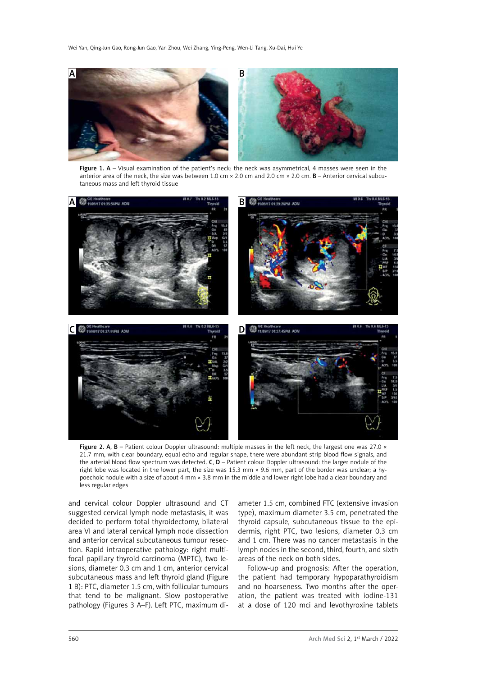Wei Yan, Qing-Jun Gao, Rong-Jun Gao, Yan Zhou, Wei Zhang, Ying-Peng, Wen-Li Tang, Xu-Dai, Hui Ye



Figure 1. A - Visual examination of the patient's neck: the neck was asymmetrical, 4 masses were seen in the anterior area of the neck, the size was between 1.0 cm  $\times$  2.0 cm and 2.0 cm  $\times$  2.0 cm. **B** – Anterior cervical subcutaneous mass and left thyroid tissue



Figure 2. A, B – Patient colour Doppler ultrasound: multiple masses in the left neck, the largest one was 27.0  $\times$ 21.7 mm, with clear boundary, equal echo and regular shape, there were abundant strip blood flow signals, and the arterial blood flow spectrum was detected.  $C$ ,  $D$  – Patient colour Doppler ultrasound: the larger nodule of the right lobe was located in the lower part, the size was 15.3 mm  $\times$  9.6 mm, part of the border was unclear; a hypoechoic nodule with a size of about 4 mm × 3.8 mm in the middle and lower right lobe had a clear boundary and less regular edges

and cervical colour Doppler ultrasound and CT suggested cervical lymph node metastasis, it was decided to perform total thyroidectomy, bilateral area VI and lateral cervical lymph node dissection and anterior cervical subcutaneous tumour resection. Rapid intraoperative pathology: right multifocal papillary thyroid carcinoma (MPTC), two lesions, diameter 0.3 cm and 1 cm, anterior cervical subcutaneous mass and left thyroid gland (Figure 1 B): PTC, diameter 1.5 cm, with follicular tumours that tend to be malignant. Slow postoperative pathology (Figures 3 A–F). Left PTC, maximum diameter 1.5 cm, combined FTC (extensive invasion type), maximum diameter 3.5 cm, penetrated the thyroid capsule, subcutaneous tissue to the epidermis, right PTC, two lesions, diameter 0.3 cm and 1 cm. There was no cancer metastasis in the lymph nodes in the second, third, fourth, and sixth areas of the neck on both sides.

Follow-up and prognosis: After the operation, the patient had temporary hypoparathyroidism and no hoarseness. Two months after the operation, the patient was treated with iodine-131 at a dose of 120 mci and levothyroxine tablets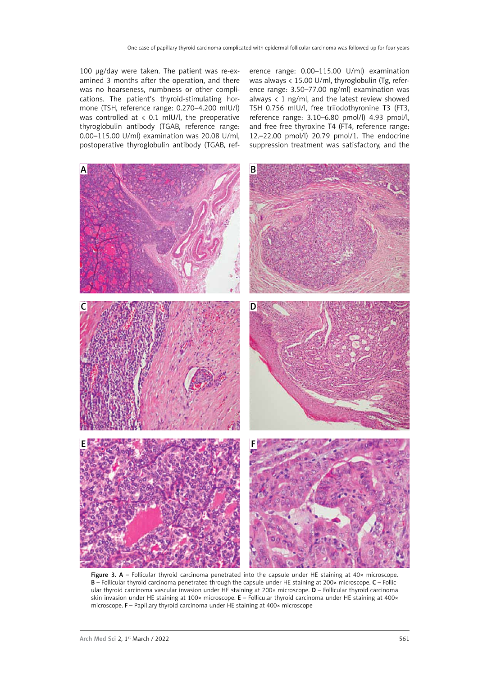100 μg/day were taken. The patient was re-examined 3 months after the operation, and there was no hoarseness, numbness or other complications. The patient's thyroid-stimulating hormone (TSH, reference range: 0.270–4.200 mIU/l) was controlled at  $\langle$  0.1 mIU/l, the preoperative thyroglobulin antibody (TGAB, reference range: 0.00–115.00 U/ml) examination was 20.08 U/ml, postoperative thyroglobulin antibody (TGAB, reference range: 0.00–115.00 U/ml) examination was always < 15.00 U/ml, thyroglobulin (Tg, reference range: 3.50–77.00 ng/ml) examination was always  $\langle 1 \rangle$  ng/ml, and the latest review showed TSH 0.756 mIU/l, free triiodothyronine T3 (FT3, reference range: 3.10–6.80 pmol/l) 4.93 pmol/l, and free free thyroxine T4 (FT4, reference range: 12.–22.00 pmol/l) 20.79 pmol/1. The endocrine suppression treatment was satisfactory, and the



Figure 3.  $A$  – Follicular thyroid carcinoma penetrated into the capsule under HE staining at  $40x$  microscope. B – Follicular thyroid carcinoma penetrated through the capsule under HE staining at 200× microscope. C – Follicular thyroid carcinoma vascular invasion under HE staining at 200× microscope. D - Follicular thyroid carcinoma skin invasion under HE staining at 100× microscope. E – Follicular thyroid carcinoma under HE staining at 400× microscope. F – Papillary thyroid carcinoma under HE staining at 400× microscope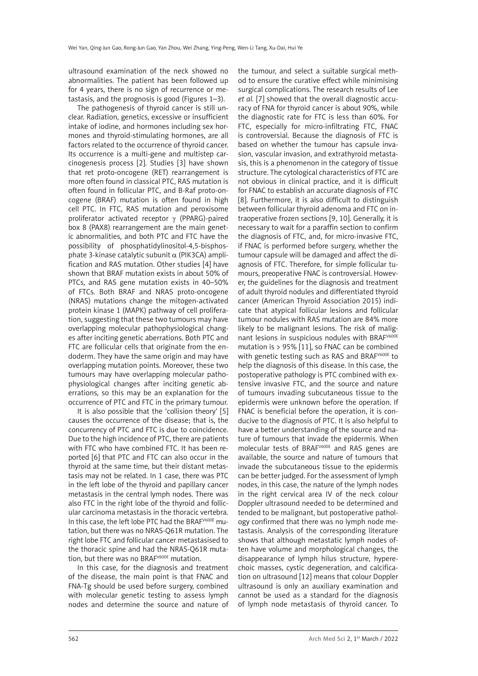ultrasound examination of the neck showed no abnormalities. The patient has been followed up for 4 years, there is no sign of recurrence or metastasis, and the prognosis is good (Figures 1–3).

The pathogenesis of thyroid cancer is still unclear. Radiation, genetics, excessive or insufficient intake of iodine, and hormones including sex hormones and thyroid-stimulating hormones, are all factors related to the occurrence of thyroid cancer. Its occurrence is a multi-gene and multistep carcinogenesis process [2]. Studies [3] have shown that ret proto-oncogene (RET) rearrangement is more often found in classical PTC, RAS mutation is often found in follicular PTC, and B-Raf proto-oncogene (BRAF) mutation is often found in high cell PTC. In FTC, RAS mutation and peroxisome proliferator activated receptor  $\gamma$  (PPARG)-paired box 8 (PAX8) rearrangement are the main genetic abnormalities, and both PTC and FTC have the possibility of phosphatidylinositol-4,5-bisphosphate 3-kinase catalytic subunit  $\alpha$  (PIK3CA) amplification and RAS mutation. Other studies [4] have shown that BRAF mutation exists in about 50% of PTCs, and RAS gene mutation exists in 40–50% of FTCs. Both BRAF and NRAS proto-oncogene (NRAS) mutations change the mitogen-activated protein kinase 1 (MAPK) pathway of cell proliferation, suggesting that these two tumours may have overlapping molecular pathophysiological changes after inciting genetic aberrations. Both PTC and FTC are follicular cells that originate from the endoderm. They have the same origin and may have overlapping mutation points. Moreover, these two tumours may have overlapping molecular pathophysiological changes after inciting genetic aberrations, so this may be an explanation for the occurrence of PTC and FTC in the primary tumour.

It is also possible that the 'collision theory' [5] causes the occurrence of the disease; that is, the concurrency of PTC and FTC is due to coincidence. Due to the high incidence of PTC, there are patients with FTC who have combined FTC. It has been reported [6] that PTC and FTC can also occur in the thyroid at the same time, but their distant metastasis may not be related. In 1 case, there was PTC in the left lobe of the thyroid and papillary cancer metastasis in the central lymph nodes. There was also FTC in the right lobe of the thyroid and follicular carcinoma metastasis in the thoracic vertebra. In this case, the left lobe PTC had the BRAFV600E mutation, but there was no NRAS-Q61R mutation. The right lobe FTC and follicular cancer metastasised to the thoracic spine and had the NRAS-Q61R mutation, but there was no BRAF<sup>V600E</sup> mutation.

In this case, for the diagnosis and treatment of the disease, the main point is that FNAC and FNA-Tg should be used before surgery, combined with molecular genetic testing to assess lymph nodes and determine the source and nature of the tumour, and select a suitable surgical method to ensure the curative effect while minimising surgical complications. The research results of Lee *et al.* [7] showed that the overall diagnostic accuracy of FNA for thyroid cancer is about 90%, while the diagnostic rate for FTC is less than 60%. For FTC, especially for micro-infiltrating FTC, FNAC is controversial. Because the diagnosis of FTC is based on whether the tumour has capsule invasion, vascular invasion, and extrathyroid metastasis, this is a phenomenon in the category of tissue structure. The cytological characteristics of FTC are not obvious in clinical practice, and it is difficult for FNAC to establish an accurate diagnosis of FTC [8]. Furthermore, it is also difficult to distinguish between follicular thyroid adenoma and FTC on intraoperative frozen sections [9, 10]. Generally, it is necessary to wait for a paraffin section to confirm the diagnosis of FTC, and, for micro-invasive FTC, if FNAC is performed before surgery, whether the tumour capsule will be damaged and affect the diagnosis of FTC. Therefore, for simple follicular tumours, preoperative FNAC is controversial. However, the guidelines for the diagnosis and treatment of adult thyroid nodules and differentiated thyroid cancer (American Thyroid Association 2015) indicate that atypical follicular lesions and follicular tumour nodules with RAS mutation are 84% more likely to be malignant lesions. The risk of malignant lesions in suspicious nodules with BRAFV600E mutation is > 95% [11], so FNAC can be combined with genetic testing such as RAS and BRAF<sup>V600E</sup> to help the diagnosis of this disease. In this case, the postoperative pathology is PTC combined with extensive invasive FTC, and the source and nature of tumours invading subcutaneous tissue to the epidermis were unknown before the operation. If FNAC is beneficial before the operation, it is conducive to the diagnosis of PTC. It is also helpful to have a better understanding of the source and nature of tumours that invade the epidermis. When molecular tests of BRAFV600E and RAS genes are available, the source and nature of tumours that invade the subcutaneous tissue to the epidermis can be better judged. For the assessment of lymph nodes, in this case, the nature of the lymph nodes in the right cervical area IV of the neck colour Doppler ultrasound needed to be determined and tended to be malignant, but postoperative pathology confirmed that there was no lymph node metastasis. Analysis of the corresponding literature shows that although metastatic lymph nodes often have volume and morphological changes, the disappearance of lymph hilus structure, hyperechoic masses, cystic degeneration, and calcification on ultrasound [12] means that colour Doppler ultrasound is only an auxiliary examination and cannot be used as a standard for the diagnosis of lymph node metastasis of thyroid cancer. To